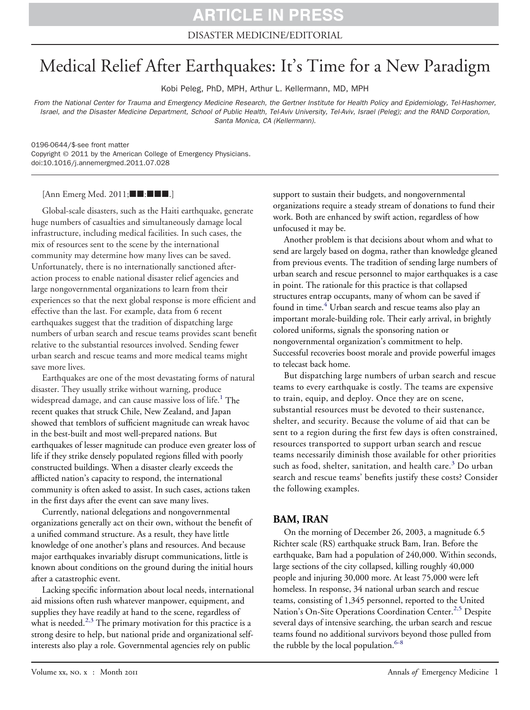## **ARTICLE IN PRESS**

DISASTER MEDICINE/EDITORIAL

### Medical Relief After Earthquakes: It's Time for a New Paradigm

Kobi Peleg, PhD, MPH, Arthur L. Kellermann, MD, MPH

*From the National Center for Trauma and Emergency Medicine Research, the Gertner Institute for Health Policy and Epidemiology, Tel-Hashomer, Israel, and the Disaster Medicine Department, School of Public Health, Tel-Aviv University, Tel-Aviv, Israel (Peleg); and the RAND Corporation, Santa Monica, CA (Kellermann).*

0196-0644/\$-see front matter Copyright © 2011 by the American College of Emergency Physicians. doi:10.1016/j.annemergmed.2011.07.028

 $[Ann~Energy~Med.~2011; \blacksquare \blacksquare \blacksquare \blacksquare \blacksquare]$ 

Global-scale disasters, such as the Haiti earthquake, generate huge numbers of casualties and simultaneously damage local infrastructure, including medical facilities. In such cases, the mix of resources sent to the scene by the international community may determine how many lives can be saved. Unfortunately, there is no internationally sanctioned afteraction process to enable national disaster relief agencies and large nongovernmental organizations to learn from their experiences so that the next global response is more efficient and effective than the last. For example, data from 6 recent earthquakes suggest that the tradition of dispatching large numbers of urban search and rescue teams provides scant benefit relative to the substantial resources involved. Sending fewer urban search and rescue teams and more medical teams might save more lives.

Earthquakes are one of the most devastating forms of natural disaster. They usually strike without warning, produce widespread damage, and can cause massive loss of life.<sup>[1](#page-2-0)</sup> The recent quakes that struck Chile, New Zealand, and Japan showed that temblors of sufficient magnitude can wreak havoc in the best-built and most well-prepared nations. But earthquakes of lesser magnitude can produce even greater loss of life if they strike densely populated regions filled with poorly constructed buildings. When a disaster clearly exceeds the afflicted nation's capacity to respond, the international community is often asked to assist. In such cases, actions taken in the first days after the event can save many lives.

Currently, national delegations and nongovernmental organizations generally act on their own, without the benefit of a unified command structure. As a result, they have little knowledge of one another's plans and resources. And because major earthquakes invariably disrupt communications, little is known about conditions on the ground during the initial hours after a catastrophic event.

Lacking specific information about local needs, international aid missions often rush whatever manpower, equipment, and supplies they have readily at hand to the scene, regardless of what is needed. $2,3$  The primary motivation for this practice is a strong desire to help, but national pride and organizational selfinterests also play a role. Governmental agencies rely on public

support to sustain their budgets, and nongovernmental organizations require a steady stream of donations to fund their work. Both are enhanced by swift action, regardless of how unfocused it may be.

Another problem is that decisions about whom and what to send are largely based on dogma, rather than knowledge gleaned from previous events. The tradition of sending large numbers of urban search and rescue personnel to major earthquakes is a case in point. The rationale for this practice is that collapsed structures entrap occupants, many of whom can be saved if found in time.<sup>[4](#page-2-2)</sup> Urban search and rescue teams also play an important morale-building role. Their early arrival, in brightly colored uniforms, signals the sponsoring nation or nongovernmental organization's commitment to help. Successful recoveries boost morale and provide powerful images to telecast back home.

But dispatching large numbers of urban search and rescue teams to every earthquake is costly. The teams are expensive to train, equip, and deploy. Once they are on scene, substantial resources must be devoted to their sustenance, shelter, and security. Because the volume of aid that can be sent to a region during the first few days is often constrained, resources transported to support urban search and rescue teams necessarily diminish those available for other priorities such as food, shelter, sanitation, and health care.<sup>[3](#page-2-3)</sup> Do urban search and rescue teams' benefits justify these costs? Consider the following examples.

### **BAM, IRAN**

On the morning of December 26, 2003, a magnitude 6.5 Richter scale (RS) earthquake struck Bam, Iran. Before the earthquake, Bam had a population of 240,000. Within seconds, large sections of the city collapsed, killing roughly 40,000 people and injuring 30,000 more. At least 75,000 were left homeless. In response, 34 national urban search and rescue teams, consisting of 1,345 personnel, reported to the United Nation's On-Site Operations Coordination Center.<sup>[2,5](#page-2-1)</sup> Despite several days of intensive searching, the urban search and rescue teams found no additional survivors beyond those pulled from the rubble by the local population. $6-8$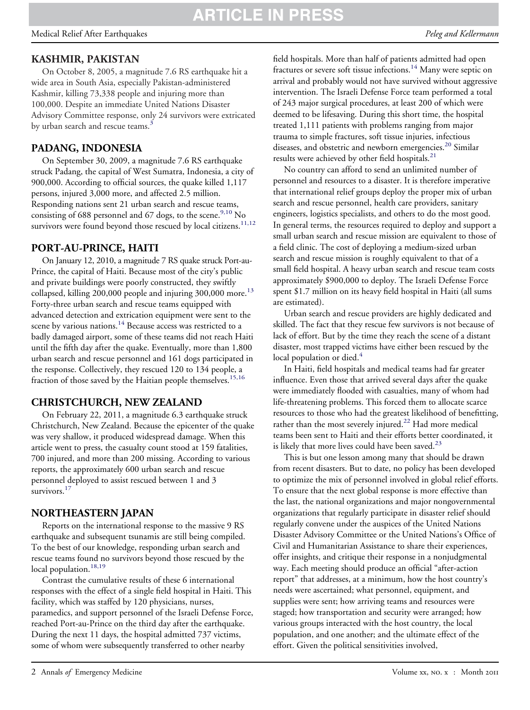#### **KASHMIR, PAKISTAN**

On October 8, 2005, a magnitude 7.6 RS earthquake hit a wide area in South Asia, especially Pakistan-administered Kashmir, killing 73,338 people and injuring more than 100,000. Despite an immediate United Nations Disaster Advisory Committee response, only 24 survivors were extricated by urban search and rescue teams.<sup>[3](#page-2-3)</sup>

#### **PADANG, INDONESIA**

On September 30, 2009, a magnitude 7.6 RS earthquake struck Padang, the capital of West Sumatra, Indonesia, a city of 900,000. According to official sources, the quake killed 1,117 persons, injured 3,000 more, and affected 2.5 million. Responding nations sent 21 urban search and rescue teams, consisting of 688 personnel and 67 dogs, to the scene.<sup>[9,10](#page-2-5)</sup> No survivors were found beyond those rescued by local citizens.<sup>[11,12](#page-2-6)</sup>

#### **PORT-AU-PRINCE, HAITI**

On January 12, 2010, a magnitude 7 RS quake struck Port-au-Prince, the capital of Haiti. Because most of the city's public and private buildings were poorly constructed, they swiftly collapsed, killing 200,000 people and injuring  $300,000$  more.<sup>[13](#page-2-7)</sup> Forty-three urban search and rescue teams equipped with advanced detection and extrication equipment were sent to the scene by various nations.<sup>[14](#page-2-8)</sup> Because access was restricted to a badly damaged airport, some of these teams did not reach Haiti until the fifth day after the quake. Eventually, more than 1,800 urban search and rescue personnel and 161 dogs participated in the response. Collectively, they rescued 120 to 134 people, a fraction of those saved by the Haitian people themselves.<sup>[15,16](#page-2-9)</sup>

### **CHRISTCHURCH, NEW ZEALAND**

On February 22, 2011, a magnitude 6.3 earthquake struck Christchurch, New Zealand. Because the epicenter of the quake was very shallow, it produced widespread damage. When this article went to press, the casualty count stood at 159 fatalities, 700 injured, and more than 200 missing. According to various reports, the approximately 600 urban search and rescue personnel deployed to assist rescued between 1 and 3 survivors<sup>[17](#page-2-10)</sup>

#### **NORTHEASTERN JAPAN**

Reports on the international response to the massive 9 RS earthquake and subsequent tsunamis are still being compiled. To the best of our knowledge, responding urban search and rescue teams found no survivors beyond those rescued by the local population.<sup>[18,19](#page-2-11)</sup>

Contrast the cumulative results of these 6 international responses with the effect of a single field hospital in Haiti. This facility, which was staffed by 120 physicians, nurses, paramedics, and support personnel of the Israeli Defense Force, reached Port-au-Prince on the third day after the earthquake. During the next 11 days, the hospital admitted 737 victims, some of whom were subsequently transferred to other nearby

field hospitals. More than half of patients admitted had open fractures or severe soft tissue infections.<sup>[14](#page-2-8)</sup> Many were septic on arrival and probably would not have survived without aggressive intervention. The Israeli Defense Force team performed a total of 243 major surgical procedures, at least 200 of which were deemed to be lifesaving. During this short time, the hospital treated 1,111 patients with problems ranging from major trauma to simple fractures, soft tissue injuries, infectious diseases, and obstetric and newborn emergencies.<sup>[20](#page-2-12)</sup> Similar results were achieved by other field hospitals.<sup>[21](#page-2-13)</sup>

No country can afford to send an unlimited number of personnel and resources to a disaster. It is therefore imperative that international relief groups deploy the proper mix of urban search and rescue personnel, health care providers, sanitary engineers, logistics specialists, and others to do the most good. In general terms, the resources required to deploy and support a small urban search and rescue mission are equivalent to those of a field clinic. The cost of deploying a medium-sized urban search and rescue mission is roughly equivalent to that of a small field hospital. A heavy urban search and rescue team costs approximately \$900,000 to deploy. The Israeli Defense Force spent \$1.7 million on its heavy field hospital in Haiti (all sums are estimated).

Urban search and rescue providers are highly dedicated and skilled. The fact that they rescue few survivors is not because of lack of effort. But by the time they reach the scene of a distant disaster, most trapped victims have either been rescued by the local population or died. $4$ 

In Haiti, field hospitals and medical teams had far greater influence. Even those that arrived several days after the quake were immediately flooded with casualties, many of whom had life-threatening problems. This forced them to allocate scarce resources to those who had the greatest likelihood of benefitting, rather than the most severely injured.<sup>[22](#page-2-14)</sup> Had more medical teams been sent to Haiti and their efforts better coordinated, it is likely that more lives could have been saved. $23$ 

This is but one lesson among many that should be drawn from recent disasters. But to date, no policy has been developed to optimize the mix of personnel involved in global relief efforts. To ensure that the next global response is more effective than the last, the national organizations and major nongovernmental organizations that regularly participate in disaster relief should regularly convene under the auspices of the United Nations Disaster Advisory Committee or the United Nations's Office of Civil and Humanitarian Assistance to share their experiences, offer insights, and critique their response in a nonjudgmental way. Each meeting should produce an official "after-action report" that addresses, at a minimum, how the host country's needs were ascertained; what personnel, equipment, and supplies were sent; how arriving teams and resources were staged; how transportation and security were arranged; how various groups interacted with the host country, the local population, and one another; and the ultimate effect of the effort. Given the political sensitivities involved,